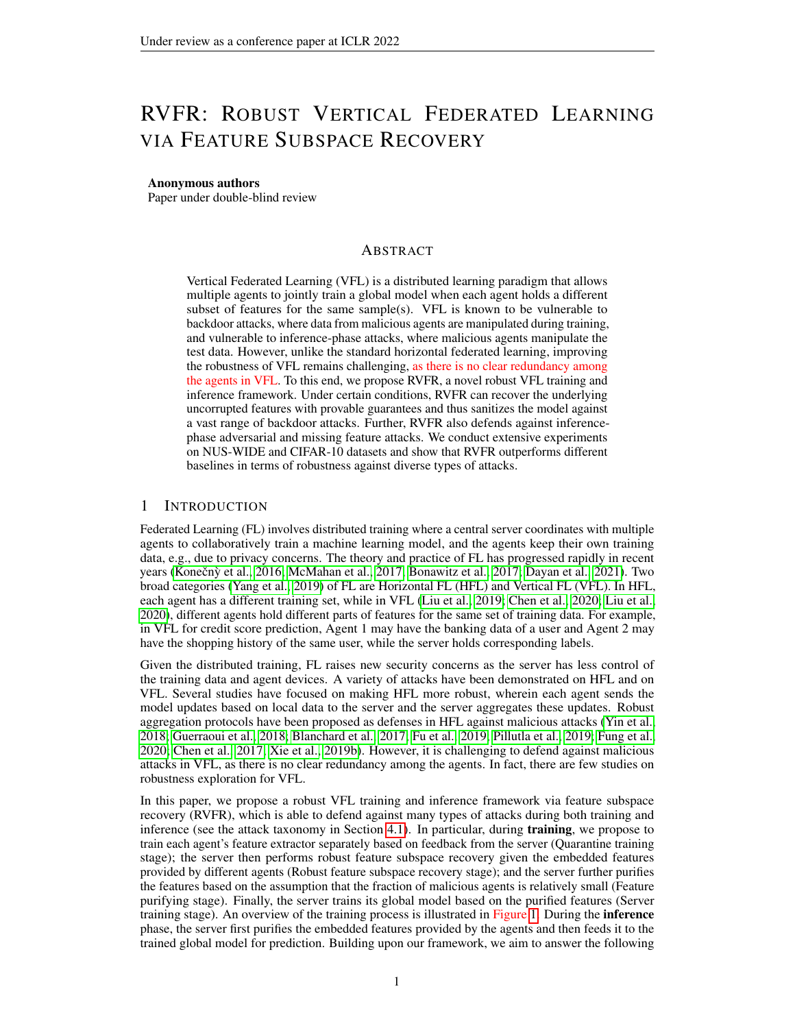# RVFR: ROBUST VERTICAL FEDERATED LEARNING VIA FEATURE SUBSPACE RECOVERY

#### Anonymous authors

Paper under double-blind review

# ABSTRACT

Vertical Federated Learning (VFL) is a distributed learning paradigm that allows multiple agents to jointly train a global model when each agent holds a different subset of features for the same sample(s). VFL is known to be vulnerable to backdoor attacks, where data from malicious agents are manipulated during training, and vulnerable to inference-phase attacks, where malicious agents manipulate the test data. However, unlike the standard horizontal federated learning, improving the robustness of VFL remains challenging, as there is no clear redundancy among the agents in VFL. To this end, we propose RVFR, a novel robust VFL training and inference framework. Under certain conditions, RVFR can recover the underlying uncorrupted features with provable guarantees and thus sanitizes the model against a vast range of backdoor attacks. Further, RVFR also defends against inferencephase adversarial and missing feature attacks. We conduct extensive experiments on NUS-WIDE and CIFAR-10 datasets and show that RVFR outperforms different baselines in terms of robustness against diverse types of attacks.

# <span id="page-0-0"></span>1 INTRODUCTION

Federated Learning (FL) involves distributed training where a central server coordinates with multiple agents to collaboratively train a machine learning model, and the agents keep their own training data, e.g., due to privacy concerns. The theory and practice of FL has progressed rapidly in recent years (Konečnỳ et al., [2016;](#page-10-0) [McMahan et al., 2017;](#page-10-1) [Bonawitz et al., 2017;](#page-9-0) [Dayan et al., 2021\)](#page-9-1). Two broad categories [\(Yang et al., 2019\)](#page-10-2) of FL are Horizontal FL (HFL) and Vertical FL (VFL). In HFL, each agent has a different training set, while in VFL [\(Liu et al., 2019;](#page-10-3) [Chen et al., 2020;](#page-9-2) [Liu et al.,](#page-10-4) [2020\)](#page-10-4), different agents hold different parts of features for the same set of training data. For example, in VFL for credit score prediction, Agent 1 may have the banking data of a user and Agent 2 may have the shopping history of the same user, while the server holds corresponding labels.

Given the distributed training, FL raises new security concerns as the server has less control of the training data and agent devices. A variety of attacks have been demonstrated on HFL and on VFL. Several studies have focused on making HFL more robust, wherein each agent sends the model updates based on local data to the server and the server aggregates these updates. Robust aggregation protocols have been proposed as defenses in HFL against malicious attacks [\(Yin et al.,](#page-10-5) [2018;](#page-10-5) [Guerraoui et al., 2018;](#page-9-3) [Blanchard et al., 2017;](#page-9-4) [Fu et al., 2019;](#page-9-5) [Pillutla et al., 2019;](#page-10-6) [Fung et al.,](#page-9-6) [2020;](#page-9-6) [Chen et al., 2017;](#page-9-7) [Xie et al., 2019b\)](#page-10-7). However, it is challenging to defend against malicious attacks in VFL, as there is no clear redundancy among the agents. In fact, there are few studies on robustness exploration for VFL.

In this paper, we propose a robust VFL training and inference framework via feature subspace recovery (RVFR), which is able to defend against many types of attacks during both training and inference (see the attack taxonomy in Section [4.1\)](#page-3-0). In particular, during **training**, we propose to train each agent's feature extractor separately based on feedback from the server (Quarantine training stage); the server then performs robust feature subspace recovery given the embedded features provided by different agents (Robust feature subspace recovery stage); and the server further purifies the features based on the assumption that the fraction of malicious agents is relatively small (Feature purifying stage). Finally, the server trains its global model based on the purified features (Server training stage). An overview of the training process is illustrated in Figure [1.](#page-0-0) During the **inference** phase, the server first purifies the embedded features provided by the agents and then feeds it to the trained global model for prediction. Building upon our framework, we aim to answer the following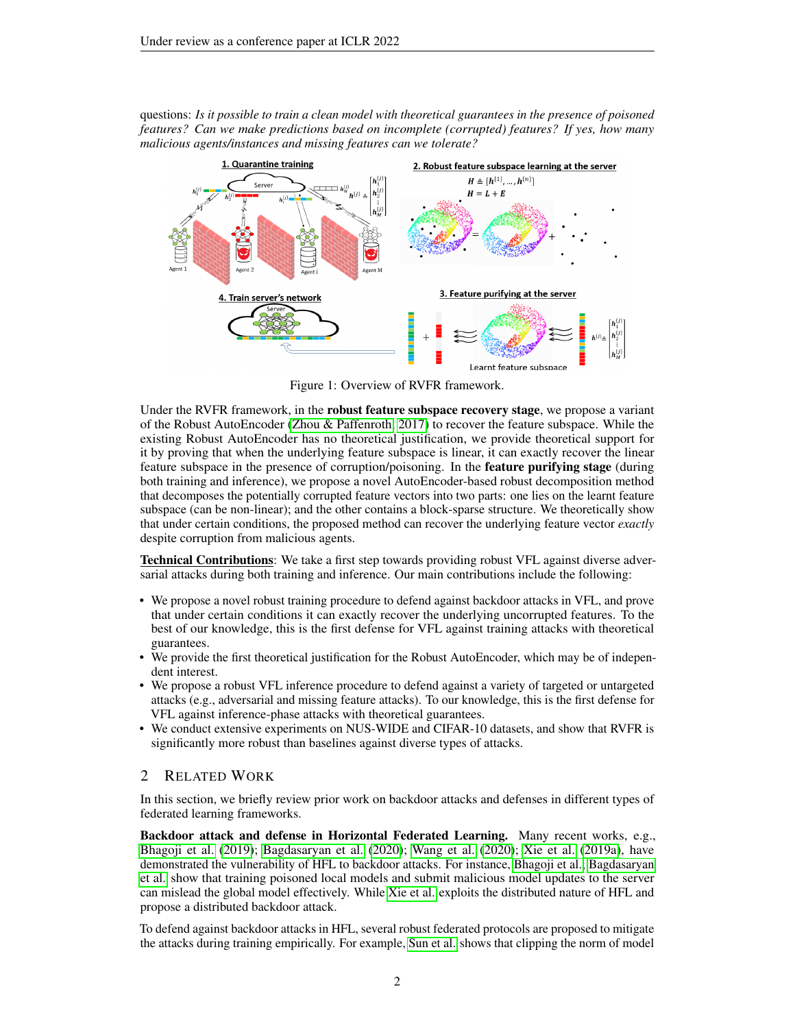questions: *Is it possible to train a clean model with theoretical guarantees in the presence of poisoned features? Can we make predictions based on incomplete (corrupted) features? If yes, how many malicious agents/instances and missing features can we tolerate?*



Figure 1: Overview of RVFR framework.

Under the RVFR framework, in the **robust feature subspace recovery stage**, we propose a variant of the Robust AutoEncoder [\(Zhou & Paffenroth, 2017\)](#page-10-8) to recover the feature subspace. While the existing Robust AutoEncoder has no theoretical justification, we provide theoretical support for it by proving that when the underlying feature subspace is linear, it can exactly recover the linear feature subspace in the presence of corruption/poisoning. In the feature purifying stage (during both training and inference), we propose a novel AutoEncoder-based robust decomposition method that decomposes the potentially corrupted feature vectors into two parts: one lies on the learnt feature subspace (can be non-linear); and the other contains a block-sparse structure. We theoretically show that under certain conditions, the proposed method can recover the underlying feature vector *exactly* despite corruption from malicious agents.

Technical Contributions: We take a first step towards providing robust VFL against diverse adversarial attacks during both training and inference. Our main contributions include the following:

- We propose a novel robust training procedure to defend against backdoor attacks in VFL, and prove that under certain conditions it can exactly recover the underlying uncorrupted features. To the best of our knowledge, this is the first defense for VFL against training attacks with theoretical guarantees.
- We provide the first theoretical justification for the Robust AutoEncoder, which may be of independent interest.
- We propose a robust VFL inference procedure to defend against a variety of targeted or untargeted attacks (e.g., adversarial and missing feature attacks). To our knowledge, this is the first defense for VFL against inference-phase attacks with theoretical guarantees.
- We conduct extensive experiments on NUS-WIDE and CIFAR-10 datasets, and show that RVFR is significantly more robust than baselines against diverse types of attacks.

# 2 RELATED WORK

In this section, we briefly review prior work on backdoor attacks and defenses in different types of federated learning frameworks.

Backdoor attack and defense in Horizontal Federated Learning. Many recent works, e.g., [Bhagoji et al.](#page-9-8) [\(2019\)](#page-9-8); [Bagdasaryan et al.](#page-9-9) [\(2020\)](#page-9-9); [Wang et al.](#page-10-9) [\(2020\)](#page-10-9); [Xie et al.](#page-10-10) [\(2019a\)](#page-10-10), have demonstrated the vulnerability of HFL to backdoor attacks. For instance, [Bhagoji et al.;](#page-9-8) [Bagdasaryan](#page-9-9) [et al.](#page-9-9) show that training poisoned local models and submit malicious model updates to the server can mislead the global model effectively. While [Xie et al.](#page-10-10) exploits the distributed nature of HFL and propose a distributed backdoor attack.

To defend against backdoor attacks in HFL, several robust federated protocols are proposed to mitigate the attacks during training empirically. For example, [Sun et al.](#page-10-11) shows that clipping the norm of model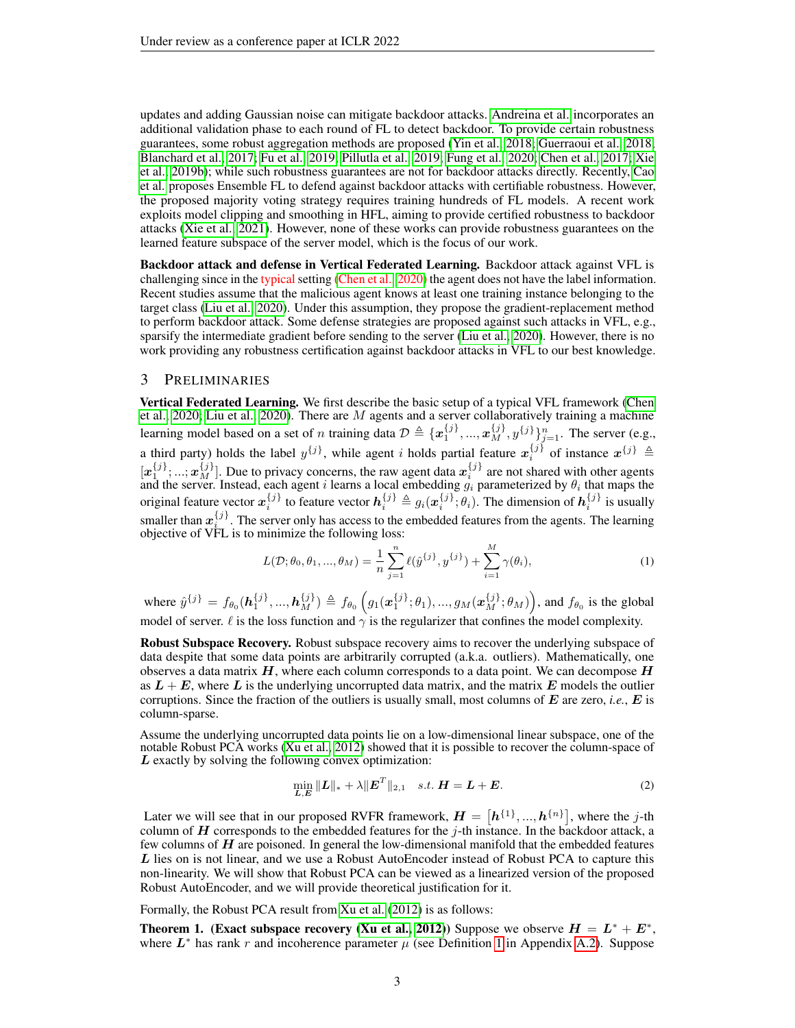updates and adding Gaussian noise can mitigate backdoor attacks. [Andreina et al.](#page-9-10) incorporates an additional validation phase to each round of FL to detect backdoor. To provide certain robustness guarantees, some robust aggregation methods are proposed [\(Yin et al., 2018;](#page-10-5) [Guerraoui et al., 2018;](#page-9-3) [Blanchard et al., 2017;](#page-9-4) [Fu et al., 2019;](#page-9-5) [Pillutla et al., 2019;](#page-10-6) [Fung et al., 2020;](#page-9-6) [Chen et al., 2017;](#page-9-7) [Xie](#page-10-7) [et al., 2019b\)](#page-10-7); while such robustness guarantees are not for backdoor attacks directly. Recently, [Cao](#page-9-11) [et al.](#page-9-11) proposes Ensemble FL to defend against backdoor attacks with certifiable robustness. However, the proposed majority voting strategy requires training hundreds of FL models. A recent work exploits model clipping and smoothing in HFL, aiming to provide certified robustness to backdoor attacks [\(Xie et al., 2021\)](#page-10-12). However, none of these works can provide robustness guarantees on the learned feature subspace of the server model, which is the focus of our work.

Backdoor attack and defense in Vertical Federated Learning. Backdoor attack against VFL is challenging since in the typical setting [\(Chen et al., 2020\)](#page-9-2) the agent does not have the label information. Recent studies assume that the malicious agent knows at least one training instance belonging to the target class [\(Liu et al., 2020\)](#page-10-4). Under this assumption, they propose the gradient-replacement method to perform backdoor attack. Some defense strategies are proposed against such attacks in VFL, e.g., sparsify the intermediate gradient before sending to the server [\(Liu et al., 2020\)](#page-10-4). However, there is no work providing any robustness certification against backdoor attacks in VFL to our best knowledge.

#### 3 PRELIMINARIES

Vertical Federated Learning. We first describe the basic setup of a typical VFL framework [\(Chen](#page-9-2) [et al., 2020;](#page-9-2) [Liu et al., 2020\)](#page-10-4). There are M agents and a server collaboratively training a machine learning model based on a set of *n* training data  $\mathcal{D} \triangleq \{x_1^{\{j\}},...,x_M^{\{j\}},y^{\{j\}}\}_{j=1}^n$ . The server (e.g., a third party) holds the label  $y^{\{j\}}$ , while agent i holds partial feature  $x_i^{\{j\}}$  of instance  $x^{\{j\}} \triangleq$  $[x_1^{\{j\}},...,x_M^{\{j\}}]$ . Due to privacy concerns, the raw agent data  $x_i^{\{j\}}$  are not shared with other agents and the server. Instead, each agent i learns a local embedding  $g_i$  parameterized by  $\theta_i$  that maps the original feature vector  $x_i^{\{j\}}$  to feature vector  $h_i^{\{j\}} \triangleq g_i(x_i^{\{j\}};\theta_i)$ . The dimension of  $h_i^{\{j\}}$  is usually smaller than  $x_i^{j}$ . The server only has access to the embedded features from the agents. The learning objective of VFL is to minimize the following loss:

$$
L(\mathcal{D}; \theta_0, \theta_1, ..., \theta_M) = \frac{1}{n} \sum_{j=1}^n \ell(\hat{y}^{\{j\}}, y^{\{j\}}) + \sum_{i=1}^M \gamma(\theta_i),
$$
 (1)

where  $\hat{y}^{\{j\}} = f_{\theta_0}(\mathbf{h}_1^{\{j\}}, ..., \mathbf{h}_M^{\{j\}}) \triangleq f_{\theta_0}(g_1(\mathbf{x}_1^{\{j\}};\theta_1), ..., g_M(\mathbf{x}_M^{\{j\}};\theta_M))$ , and  $f_{\theta_0}$  is the global model of server.  $\ell$  is the loss function and  $\gamma$  is the regularizer that confines the model complexity.

Robust Subspace Recovery. Robust subspace recovery aims to recover the underlying subspace of data despite that some data points are arbitrarily corrupted (a.k.a. outliers). Mathematically, one observes a data matrix  $H$ , where each column corresponds to a data point. We can decompose  $H$ as  $L + E$ , where L is the underlying uncorrupted data matrix, and the matrix E models the outlier corruptions. Since the fraction of the outliers is usually small, most columns of  $E$  are zero, *i.e.*,  $E$  is column-sparse.

Assume the underlying uncorrupted data points lie on a low-dimensional linear subspace, one of the notable Robust PCA works [\(Xu et al., 2012\)](#page-10-13) showed that it is possible to recover the column-space of L exactly by solving the following convex optimization:

<span id="page-2-0"></span>
$$
\min_{\mathbf{L}, \mathbf{E}} \|\mathbf{L}\|_{*} + \lambda \|\mathbf{E}^{T}\|_{2,1} \quad s.t. \ \mathbf{H} = \mathbf{L} + \mathbf{E}.\tag{2}
$$

Later we will see that in our proposed RVFR framework,  $H = [h^{\{1\}},...,h^{\{n\}}]$ , where the j-th column of  $H$  corresponds to the embedded features for the j-th instance. In the backdoor attack, a few columns of  $H$  are poisoned. In general the low-dimensional manifold that the embedded features L lies on is not linear, and we use a Robust AutoEncoder instead of Robust PCA to capture this non-linearity. We will show that Robust PCA can be viewed as a linearized version of the proposed Robust AutoEncoder, and we will provide theoretical justification for it.

Formally, the Robust PCA result from [Xu et al.](#page-10-13) [\(2012\)](#page-10-13) is as follows:

<span id="page-2-1"></span>**Theorem 1.** (Exact subspace recovery [\(Xu et al., 2012\)](#page-10-13)) Suppose we observe  $H = L^* + E^*$ , where  $L^*$  has rank r and incoherence parameter  $\mu$  (see Definition [1](#page-11-0) in Appendix [A.2\)](#page-11-1). Suppose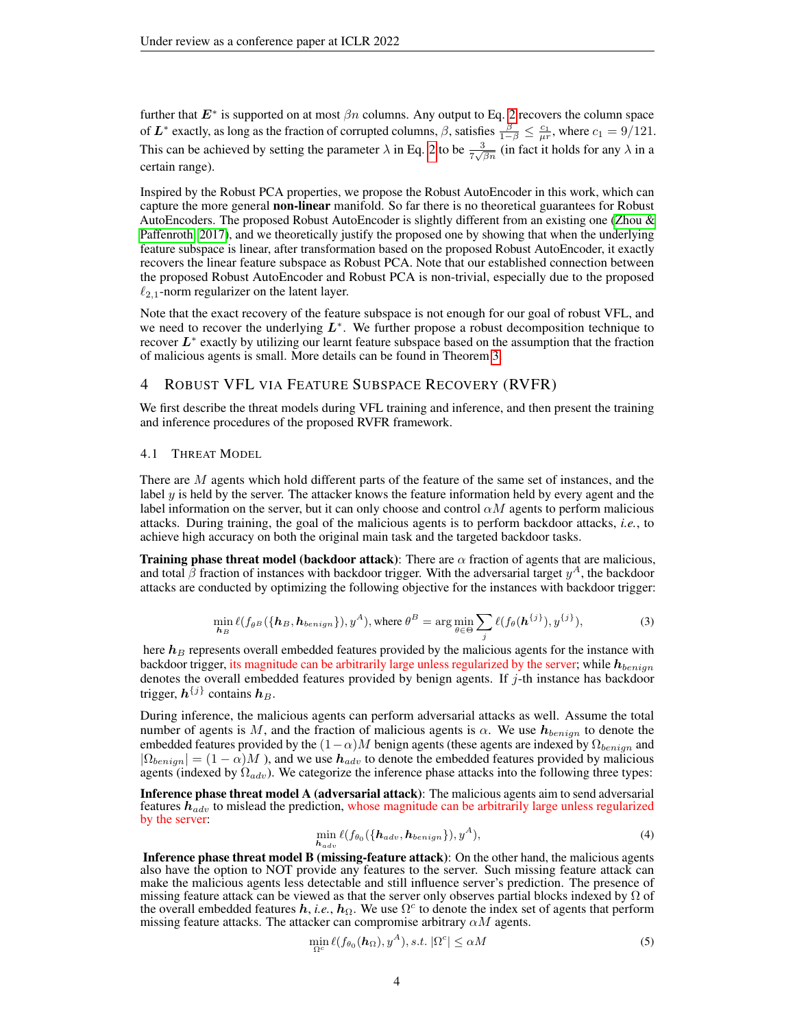further that  $E^*$  is supported on at most  $\beta n$  columns. Any output to Eq. [2](#page-2-0) recovers the column space of  $L^*$  exactly, as long as the fraction of corrupted columns,  $\beta$ , satisfies  $\frac{\beta}{1-\beta} \le \frac{c_1}{\mu r}$ , where  $c_1 = 9/121$ . This can be achieved by setting the parameter  $\lambda$  in Eq. [2](#page-2-0) to be  $\frac{3}{7\sqrt{\beta n}}$  (in fact it holds for any  $\lambda$  in a certain range).

Inspired by the Robust PCA properties, we propose the Robust AutoEncoder in this work, which can capture the more general non-linear manifold. So far there is no theoretical guarantees for Robust AutoEncoders. The proposed Robust AutoEncoder is slightly different from an existing one [\(Zhou &](#page-10-8) [Paffenroth, 2017\)](#page-10-8), and we theoretically justify the proposed one by showing that when the underlying feature subspace is linear, after transformation based on the proposed Robust AutoEncoder, it exactly recovers the linear feature subspace as Robust PCA. Note that our established connection between the proposed Robust AutoEncoder and Robust PCA is non-trivial, especially due to the proposed  $\ell_{2,1}$ -norm regularizer on the latent layer.

Note that the exact recovery of the feature subspace is not enough for our goal of robust VFL, and we need to recover the underlying  $L^*$ . We further propose a robust decomposition technique to recover  $L^*$  exactly by utilizing our learnt feature subspace based on the assumption that the fraction of malicious agents is small. More details can be found in Theorem [3.](#page-6-0)

# 4 ROBUST VFL VIA FEATURE SUBSPACE RECOVERY (RVFR)

We first describe the threat models during VFL training and inference, and then present the training and inference procedures of the proposed RVFR framework.

## <span id="page-3-0"></span>4.1 THREAT MODEL

There are M agents which hold different parts of the feature of the same set of instances, and the label  $y$  is held by the server. The attacker knows the feature information held by every agent and the label information on the server, but it can only choose and control  $\alpha M$  agents to perform malicious attacks. During training, the goal of the malicious agents is to perform backdoor attacks, *i.e.*, to achieve high accuracy on both the original main task and the targeted backdoor tasks.

**Training phase threat model (backdoor attack):** There are  $\alpha$  fraction of agents that are malicious, and total  $\beta$  fraction of instances with backdoor trigger. With the adversarial target  $y^A$ , the backdoor attacks are conducted by optimizing the following objective for the instances with backdoor trigger:

$$
\min_{\mathbf{h}_B} \ell(f_{\theta^B}(\{\mathbf{h}_B, \mathbf{h}_{benign}\}), y^A), \text{ where } \theta^B = \arg\min_{\theta \in \Theta} \sum_j \ell(f_{\theta}(\mathbf{h}^{\{j\}}), y^{\{j\}}),
$$
\n(3)

here  $h_B$  represents overall embedded features provided by the malicious agents for the instance with backdoor trigger, its magnitude can be arbitrarily large unless regularized by the server; while  $h_{benign}$ denotes the overall embedded features provided by benign agents. If  $j$ -th instance has backdoor trigger,  $h^{\{j\}}$  contains  $h_B$ .

During inference, the malicious agents can perform adversarial attacks as well. Assume the total number of agents is M, and the fraction of malicious agents is  $\alpha$ . We use  $h_{benign}$  to denote the embedded features provided by the  $(1-\alpha)M$  benign agents (these agents are indexed by  $\Omega_{benign}$  and  $|\Omega_{benign}| = (1 - \alpha)M$ ), and we use  $h_{adv}$  to denote the embedded features provided by malicious agents (indexed by  $\Omega_{adv}$ ). We categorize the inference phase attacks into the following three types:

Inference phase threat model A (adversarial attack): The malicious agents aim to send adversarial features  $h_{adv}$  to mislead the prediction, whose magnitude can be arbitrarily large unless regularized by the server:

$$
\min_{\mathbf{h}_{adv}} \ell(f_{\theta_0}(\{\mathbf{h}_{adv}, \mathbf{h}_{benign}\}), y^A), \tag{4}
$$

Inference phase threat model B (missing-feature attack): On the other hand, the malicious agents also have the option to NOT provide any features to the server. Such missing feature attack can make the malicious agents less detectable and still influence server's prediction. The presence of missing feature attack can be viewed as that the server only observes partial blocks indexed by  $\Omega$  of the overall embedded features  $h$ , *i.e.*,  $h_{\Omega}$ . We use  $\Omega^c$  to denote the index set of agents that perform missing feature attacks. The attacker can compromise arbitrary  $\alpha M$  agents.

$$
\min_{\Omega^c} \ell(f_{\theta_0}(\boldsymbol{h}_{\Omega}), y^A), s.t. |\Omega^c| \le \alpha M \tag{5}
$$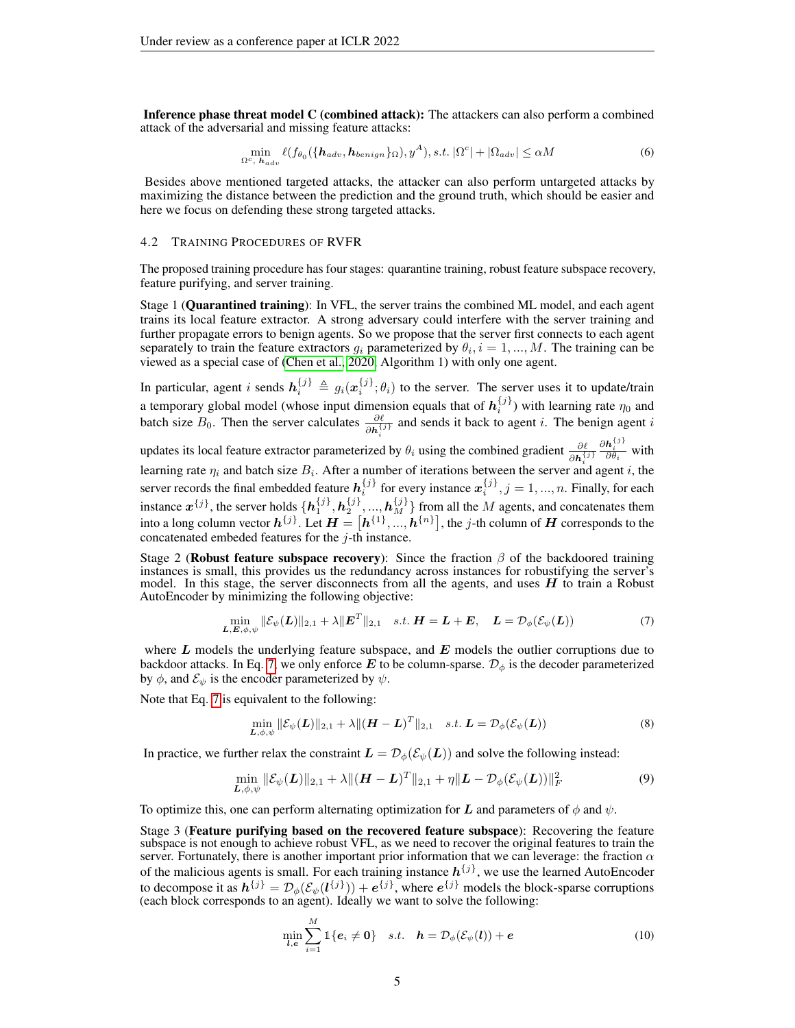Inference phase threat model C (combined attack): The attackers can also perform a combined attack of the adversarial and missing feature attacks:

$$
\min_{\Omega^c, \mathbf{h}_{adv}} \ell(f_{\theta_0}(\{\mathbf{h}_{adv}, \mathbf{h}_{benign}\}_{\Omega}), y^A), s.t. |\Omega^c| + |\Omega_{adv}| \le \alpha M \tag{6}
$$

Besides above mentioned targeted attacks, the attacker can also perform untargeted attacks by maximizing the distance between the prediction and the ground truth, which should be easier and here we focus on defending these strong targeted attacks.

#### 4.2 TRAINING PROCEDURES OF RVFR

The proposed training procedure has four stages: quarantine training, robust feature subspace recovery, feature purifying, and server training.

Stage 1 (Quarantined training): In VFL, the server trains the combined ML model, and each agent trains its local feature extractor. A strong adversary could interfere with the server training and further propagate errors to benign agents. So we propose that the server first connects to each agent separately to train the feature extractors  $g_i$  parameterized by  $\theta_i$ ,  $i = 1, ..., M$ . The training can be viewed as a special case of [\(Chen et al., 2020,](#page-9-2) Algorithm 1) with only one agent.

In particular, agent i sends  $h_i^{\{j\}} \triangleq g_i(x_i^{\{j\}};\theta_i)$  to the server. The server uses it to update/train a temporary global model (whose input dimension equals that of  $h_i^{\{j\}}$ ) with learning rate  $\eta_0$  and batch size  $B_0$ . Then the server calculates  $\frac{\partial \ell}{\partial h_i^{(j)}}$  and sends it back to agent i. The benign agent i i

updates its local feature extractor parameterized by  $\theta_i$  using the combined gradient  $\frac{\partial \ell}{\partial h_i^{(j)}}$  $\frac{\partial \mathbf{h}_i^{\{j\}}}{\partial \theta_i}$  with learning rate  $\eta_i$  and batch size  $B_i$ . After a number of iterations between the server and agent i, the server records the final embedded feature  $h_i^{\{j\}}$  for every instance  $x_i^{\{j\}}, j = 1, ..., n$ . Finally, for each instance  $x^{\{j\}}$ , the server holds  $\{h_1^{\{j\}}, h_2^{\{j\}},..., h_M^{\{j\}}\}$  from all the M agents, and concatenates them into a long column vector  $h^{\{j\}}$ . Let  $H = [h^{\{1\}},...,h^{\{n\}}]$ , the j-th column of  $H$  corresponds to the concatenated embeded features for the  $i$ -th instance.

Stage 2 (Robust feature subspace recovery): Since the fraction  $\beta$  of the backdoored training instances is small, this provides us the redundancy across instances for robustifying the server's model. In this stage, the server disconnects from all the agents, and uses  $H$  to train a Robust AutoEncoder by minimizing the following objective:

<span id="page-4-0"></span>
$$
\min_{\boldsymbol{L}, \boldsymbol{E}, \phi, \psi} \|\mathcal{E}_{\psi}(\boldsymbol{L})\|_{2,1} + \lambda \|\boldsymbol{E}^T\|_{2,1} \quad s.t. \ \boldsymbol{H} = \boldsymbol{L} + \boldsymbol{E}, \quad \boldsymbol{L} = \mathcal{D}_{\phi}(\mathcal{E}_{\psi}(\boldsymbol{L})) \tag{7}
$$

where  $L$  models the underlying feature subspace, and  $E$  models the outlier corruptions due to backdoor attacks. In Eq. [7,](#page-4-0) we only enforce E to be column-sparse.  $\mathcal{D}_{\phi}$  is the decoder parameterized by  $\phi$ , and  $\mathcal{E}_{\psi}$  is the encoder parameterized by  $\psi$ .

Note that Eq. [7](#page-4-0) is equivalent to the following:

$$
\min_{\boldsymbol{L},\phi,\psi} \|\mathcal{E}_{\psi}(\boldsymbol{L})\|_{2,1} + \lambda \|(\boldsymbol{H} - \boldsymbol{L})^T\|_{2,1} \quad s.t. \ \boldsymbol{L} = \mathcal{D}_{\phi}(\mathcal{E}_{\psi}(\boldsymbol{L})) \tag{8}
$$

In practice, we further relax the constraint  $\mathbf{L} = \mathcal{D}_{\phi}(\mathcal{E}_{\psi}(\mathbf{L}))$  and solve the following instead:

$$
\min_{\boldsymbol{L},\phi,\psi} \|\mathcal{E}_{\psi}(\boldsymbol{L})\|_{2,1} + \lambda \|(\boldsymbol{H} - \boldsymbol{L})^T\|_{2,1} + \eta \|\boldsymbol{L} - \mathcal{D}_{\phi}(\mathcal{E}_{\psi}(\boldsymbol{L}))\|_F^2
$$
\n(9)

To optimize this, one can perform alternating optimization for L and parameters of  $\phi$  and  $\psi$ .

Stage 3 (Feature purifying based on the recovered feature subspace): Recovering the feature subspace is not enough to achieve robust VFL, as we need to recover the original features to train the server. Fortunately, there is another important prior information that we can leverage: the fraction  $\alpha$ of the malicious agents is small. For each training instance  $h^{\{j\}}$ , we use the learned AutoEncoder to decompose it as  $h^{\{j\}} = \mathcal{D}_\phi(\mathcal{E}_\psi(l^{\{j\}})) + e^{\{j\}}$ , where  $e^{\{j\}}$  models the block-sparse corruptions (each block corresponds to an agent). Ideally we want to solve the following:

$$
\min_{\boldsymbol{l},\boldsymbol{e}}\sum_{i=1}^{M}\mathbb{1}\{\boldsymbol{e}_{i}\neq\boldsymbol{0}\}\quad s.t.\quad \boldsymbol{h}=\mathcal{D}_{\phi}(\mathcal{E}_{\psi}(\boldsymbol{l}))+\boldsymbol{e}
$$
\n(10)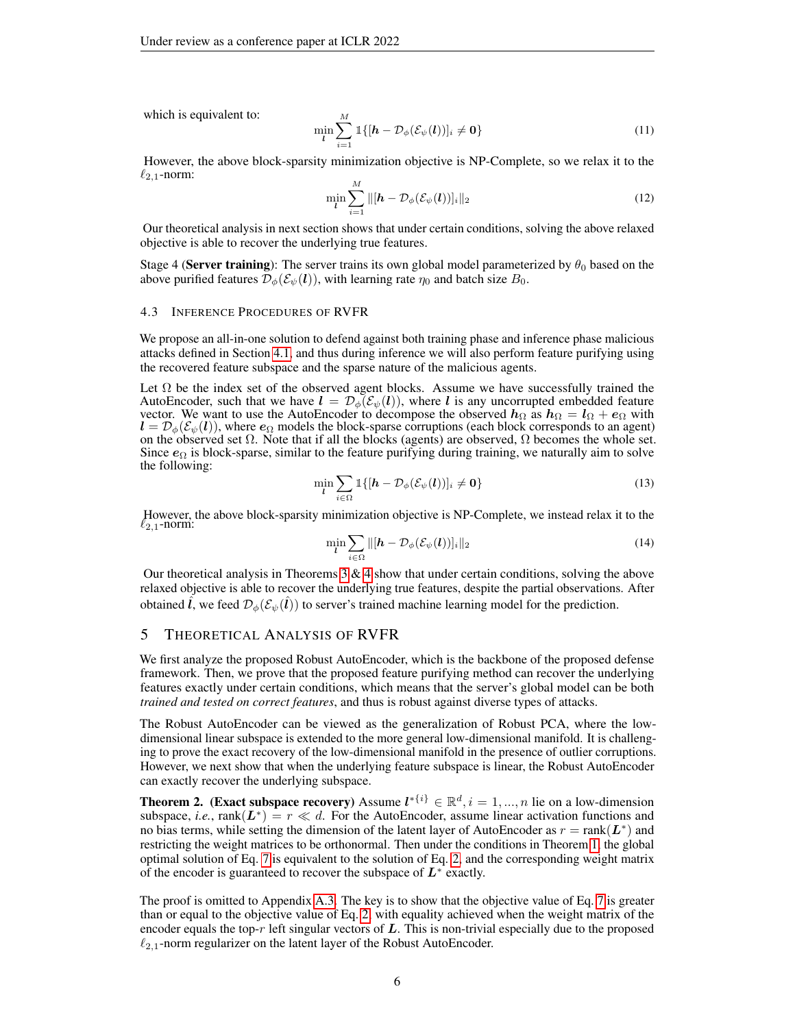which is equivalent to:

$$
\min_{\boldsymbol{l}} \sum_{i=1}^{M} \mathbb{1}\{[\boldsymbol{h} - \mathcal{D}_{\phi}(\mathcal{E}_{\psi}(\boldsymbol{l}))]_{i} \neq \mathbf{0}\}\tag{11}
$$

However, the above block-sparsity minimization objective is NP-Complete, so we relax it to the  $\ell_{2,1}$ -norm:

<span id="page-5-3"></span>
$$
\min_{\boldsymbol{l}} \sum_{i=1}^{M} \|\left[\boldsymbol{h} - \mathcal{D}_{\phi}(\mathcal{E}_{\psi}(\boldsymbol{l}))\right]_{i}\|_{2}
$$
\n(12)

Our theoretical analysis in next section shows that under certain conditions, solving the above relaxed objective is able to recover the underlying true features.

Stage 4 (Server training): The server trains its own global model parameterized by  $\theta_0$  based on the above purified features  $\mathcal{D}_{\phi}(\mathcal{E}_{\psi}(l))$ , with learning rate  $\eta_0$  and batch size  $B_0$ .

#### 4.3 INFERENCE PROCEDURES OF RVFR

We propose an all-in-one solution to defend against both training phase and inference phase malicious attacks defined in Section [4.1,](#page-3-0) and thus during inference we will also perform feature purifying using the recovered feature subspace and the sparse nature of the malicious agents.

Let  $\Omega$  be the index set of the observed agent blocks. Assume we have successfully trained the AutoEncoder, such that we have  $l = \mathcal{D}_{\phi}(\mathcal{E}_{\psi}(l))$ , where l is any uncorrupted embedded feature vector. We want to use the AutoEncoder to decompose the observed  $h_{\Omega}$  as  $h_{\Omega} = l_{\Omega} + e_{\Omega}$  with  $l = \mathcal{D}_{\phi}(\mathcal{E}_{\psi}(l))$ , where  $e_{\Omega}$  models the block-sparse corruptions (each block corresponds to an agent) on the observed set  $\Omega$ . Note that if all the blocks (agents) are observed,  $\Omega$  becomes the whole set. Since  $\epsilon_{\Omega}$  is block-sparse, similar to the feature purifying during training, we naturally aim to solve the following:

<span id="page-5-2"></span>
$$
\min_{\mathbf{l}} \sum_{i \in \Omega} \mathbb{1}\{[\mathbf{h} - \mathcal{D}_{\phi}(\mathcal{E}_{\psi}(\mathbf{l}))]_i \neq \mathbf{0}\}\tag{13}
$$

However, the above block-sparsity minimization objective is NP-Complete, we instead relax it to the  $\ell_{2,1}$ -norm:

<span id="page-5-1"></span>
$$
\min_{\boldsymbol{l}} \sum_{i \in \Omega} ||[\boldsymbol{h} - \mathcal{D}_{\phi}(\mathcal{E}_{\psi}(\boldsymbol{l}))]_i||_2 \tag{14}
$$

Our theoretical analysis in Theorems  $3 \& 4$  $3 \& 4$  show that under certain conditions, solving the above relaxed objective is able to recover the underlying true features, despite the partial observations. After obtained  $\hat{l}$ , we feed  $\mathcal{D}_{\phi}(\mathcal{E}_{\psi}(\hat{l}))$  to server's trained machine learning model for the prediction.

## 5 THEORETICAL ANALYSIS OF RVFR

We first analyze the proposed Robust AutoEncoder, which is the backbone of the proposed defense framework. Then, we prove that the proposed feature purifying method can recover the underlying features exactly under certain conditions, which means that the server's global model can be both *trained and tested on correct features*, and thus is robust against diverse types of attacks.

The Robust AutoEncoder can be viewed as the generalization of Robust PCA, where the lowdimensional linear subspace is extended to the more general low-dimensional manifold. It is challenging to prove the exact recovery of the low-dimensional manifold in the presence of outlier corruptions. However, we next show that when the underlying feature subspace is linear, the Robust AutoEncoder can exactly recover the underlying subspace.

<span id="page-5-0"></span>**Theorem 2.** (Exact subspace recovery) Assume  $l^{*\{i\}} \in \mathbb{R}^d, i = 1, ..., n$  lie on a low-dimension subspace, *i.e.*,  $rank(L^*) = r \ll d$ . For the AutoEncoder, assume linear activation functions and no bias terms, while setting the dimension of the latent layer of AutoEncoder as  $r = \text{rank}(\mathbf{L}^*)$  and restricting the weight matrices to be orthonormal. Then under the conditions in Theorem [1,](#page-2-1) the global optimal solution of Eq. [7](#page-4-0) is equivalent to the solution of Eq. [2,](#page-2-0) and the corresponding weight matrix of the encoder is guaranteed to recover the subspace of  $L^*$  exactly.

The proof is omitted to Appendix [A.3.](#page-12-0) The key is to show that the objective value of Eq. [7](#page-4-0) is greater than or equal to the objective value of Eq. [2,](#page-2-0) with equality achieved when the weight matrix of the encoder equals the top-r left singular vectors of  $L$ . This is non-trivial especially due to the proposed  $\ell_{2,1}$ -norm regularizer on the latent layer of the Robust AutoEncoder.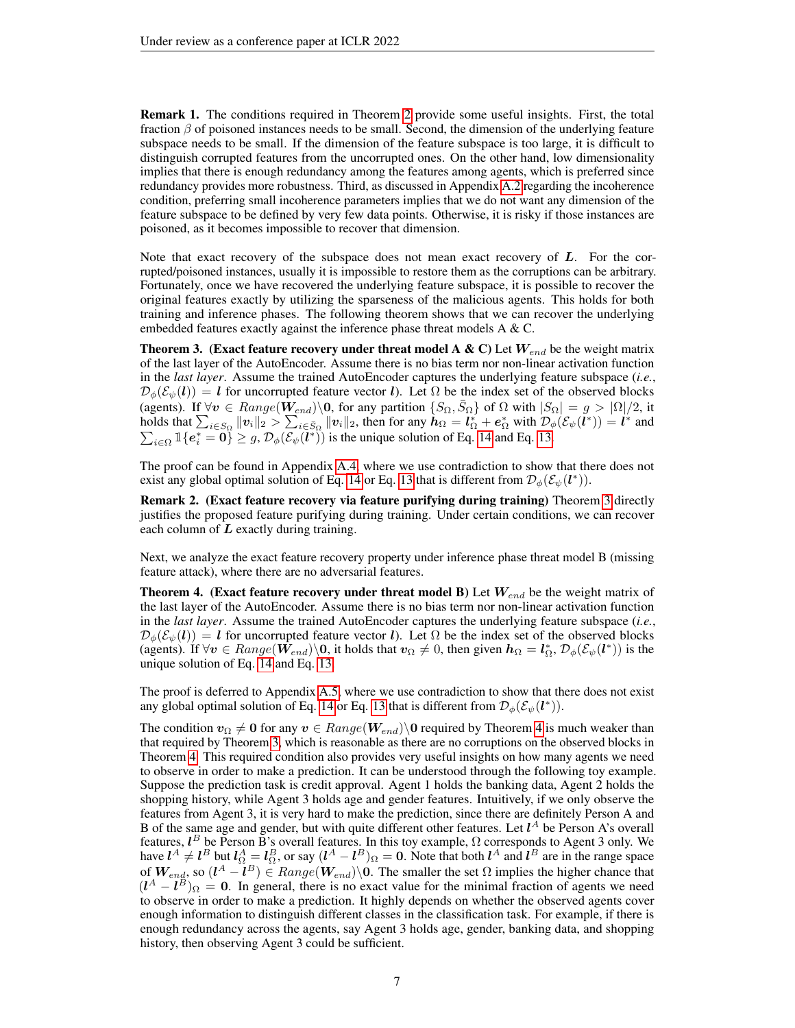Remark 1. The conditions required in Theorem [2](#page-5-0) provide some useful insights. First, the total fraction  $\beta$  of poisoned instances needs to be small. Second, the dimension of the underlying feature subspace needs to be small. If the dimension of the feature subspace is too large, it is difficult to distinguish corrupted features from the uncorrupted ones. On the other hand, low dimensionality implies that there is enough redundancy among the features among agents, which is preferred since redundancy provides more robustness. Third, as discussed in Appendix [A.2](#page-11-1) regarding the incoherence condition, preferring small incoherence parameters implies that we do not want any dimension of the feature subspace to be defined by very few data points. Otherwise, it is risky if those instances are poisoned, as it becomes impossible to recover that dimension.

Note that exact recovery of the subspace does not mean exact recovery of  $L$ . For the corrupted/poisoned instances, usually it is impossible to restore them as the corruptions can be arbitrary. Fortunately, once we have recovered the underlying feature subspace, it is possible to recover the original features exactly by utilizing the sparseness of the malicious agents. This holds for both training and inference phases. The following theorem shows that we can recover the underlying embedded features exactly against the inference phase threat models A & C.

<span id="page-6-0"></span>**Theorem 3.** (Exact feature recovery under threat model A & C) Let  $W_{end}$  be the weight matrix of the last layer of the AutoEncoder. Assume there is no bias term nor non-linear activation function in the *last layer*. Assume the trained AutoEncoder captures the underlying feature subspace (*i.e.*,  $\mathcal{D}_{\phi}(\mathcal{E}_{\psi}(l)) = l$  for uncorrupted feature vector l). Let  $\Omega$  be the index set of the observed blocks (agents). If  $\forall v \in Range(\hat{W}_{end})\backslash 0$ , for any partition  $\{S_{\Omega}, \bar{S}_{\Omega}\}$  of  $\Omega$  with  $|S_{\Omega}| = g > |\Omega|/2$ , it holds that  $\sum_{i \in S_{\Omega}} ||v_i||_2 > \sum_{i \in \bar{S}_{\Omega}} ||v_i||_2$ , then for any  $\tilde{h}_{\Omega} = \tilde{l}_{\Omega}^* + e_{\Omega}^*$  with  $\mathcal{D}_{\phi}(\mathcal{E}_{\psi}(\tilde{l}^*)) = \tilde{l}^*$ P and  $i \in \Omega$   $\mathbb{I}\left\{e_i^* = 0\right\} \geq g$ ,  $\mathcal{D}_{\phi}(\overline{\mathcal{E}_{\psi}(l^*)})$  is the unique solution of Eq. [14](#page-5-1) and Eq. [13.](#page-5-2)

The proof can be found in Appendix [A.4,](#page-12-1) where we use contradiction to show that there does not exist any global optimal solution of Eq. [14](#page-5-1) or Eq. [13](#page-5-2) that is different from  $\mathcal{D}_{\phi}(\mathcal{E}_{\psi}(l^*))$ .

Remark 2. (Exact feature recovery via feature purifying during training) Theorem [3](#page-6-0) directly justifies the proposed feature purifying during training. Under certain conditions, we can recover each column of  $L$  exactly during training.

Next, we analyze the exact feature recovery property under inference phase threat model B (missing feature attack), where there are no adversarial features.

<span id="page-6-1"></span>**Theorem 4.** (Exact feature recovery under threat model B) Let  $W_{end}$  be the weight matrix of the last layer of the AutoEncoder. Assume there is no bias term nor non-linear activation function in the *last layer*. Assume the trained AutoEncoder captures the underlying feature subspace (*i.e.*,  $\mathcal{D}_{\phi}(\mathcal{E}_{\psi}(l)) = l$  for uncorrupted feature vector l). Let  $\Omega$  be the index set of the observed blocks (agents). If  $\forall v \in Range(\hat{W}_{end}) \setminus 0$ , it holds that  $v_{\Omega} \neq 0$ , then given  $h_{\Omega} = l_{\Omega}^*, \mathcal{D}_{\phi}(\mathcal{E}_{\psi}(l^*))$  is the unique solution of Eq. [14](#page-5-1) and Eq. [13.](#page-5-2)

The proof is deferred to Appendix [A.5,](#page-13-0) where we use contradiction to show that there does not exist any global optimal solution of Eq. [14](#page-5-1) or Eq. [13](#page-5-2) that is different from  $\mathcal{D}_{\phi}(\mathcal{E}_{\psi}(l^*))$ .

The condition  $v_{\Omega} \neq 0$  for any  $v \in Range(\mathbf{W}_{end})\setminus 0$  required by Theorem [4](#page-6-1) is much weaker than that required by Theorem [3,](#page-6-0) which is reasonable as there are no corruptions on the observed blocks in Theorem [4.](#page-6-1) This required condition also provides very useful insights on how many agents we need to observe in order to make a prediction. It can be understood through the following toy example. Suppose the prediction task is credit approval. Agent 1 holds the banking data, Agent 2 holds the shopping history, while Agent 3 holds age and gender features. Intuitively, if we only observe the features from Agent 3, it is very hard to make the prediction, since there are definitely Person A and B of the same age and gender, but with quite different other features. Let  $l^A$  be Person A's overall features,  $l^B$  be Person B's overall features. In this toy example,  $\Omega$  corresponds to Agent 3 only. We have  $l^A \neq l^B$  but  $l^A_{\Omega} = l^B_{\Omega}$ , or say  $(l^A - l^B)_{\Omega} = 0$ . Note that both  $l^A$  and  $l^B$  are in the range space of  $W_{end}$ , so  $(l^A - l^B) \in Range(W_{end})\$ <sup>0</sup>. The smaller the set  $\Omega$  implies the higher chance that  $(l<sup>A</sup> - l<sup>B</sup>)<sub>\Omega</sub> = 0$ . In general, there is no exact value for the minimal fraction of agents we need to observe in order to make a prediction. It highly depends on whether the observed agents cover enough information to distinguish different classes in the classification task. For example, if there is enough redundancy across the agents, say Agent 3 holds age, gender, banking data, and shopping history, then observing Agent 3 could be sufficient.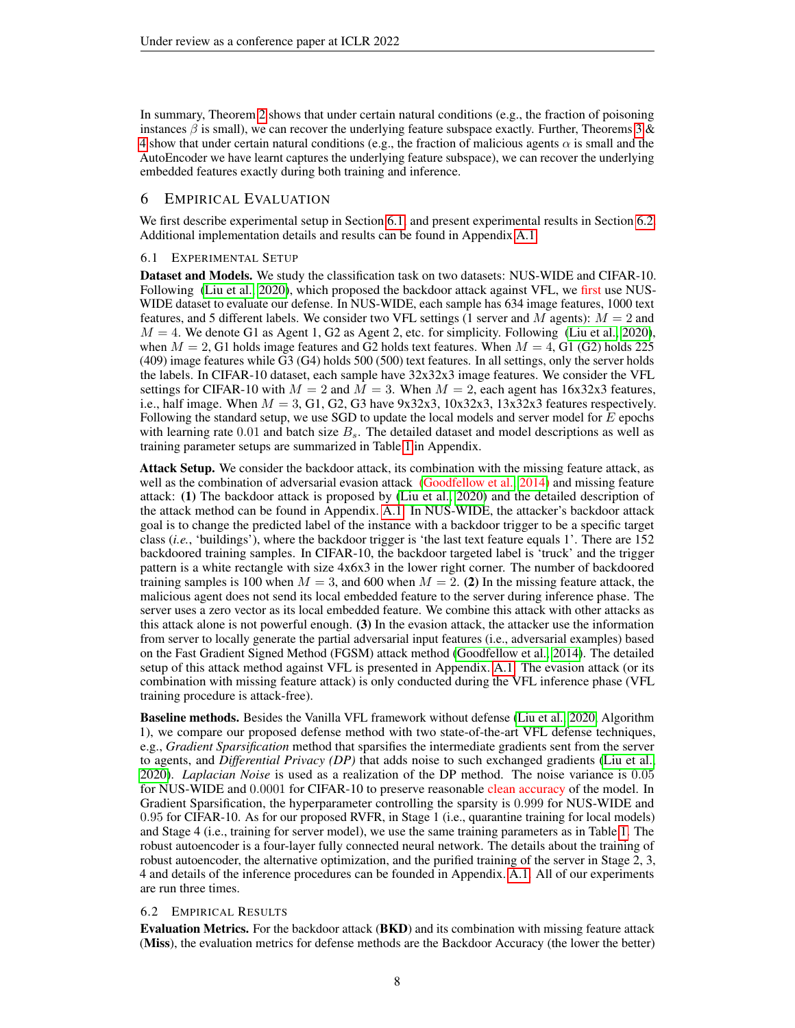In summary, Theorem [2](#page-5-0) shows that under certain natural conditions (e.g., the fraction of poisoning instances  $\beta$  is small), we can recover the underlying feature subspace exactly. Further, Theorems [3](#page-6-0) & [4](#page-6-1) show that under certain natural conditions (e.g., the fraction of malicious agents  $\alpha$  is small and the AutoEncoder we have learnt captures the underlying feature subspace), we can recover the underlying embedded features exactly during both training and inference.

# 6 EMPIRICAL EVALUATION

We first describe experimental setup in Section [6.1,](#page-7-0) and present experimental results in Section [6.2.](#page-7-1) Additional implementation details and results can be found in Appendix [A.1.](#page-10-14)

## <span id="page-7-0"></span>6.1 EXPERIMENTAL SETUP

Dataset and Models. We study the classification task on two datasets: NUS-WIDE and CIFAR-10. Following [\(Liu et al., 2020\)](#page-10-4), which proposed the backdoor attack against VFL, we first use NUS-WIDE dataset to evaluate our defense. In NUS-WIDE, each sample has 634 image features, 1000 text features, and 5 different labels. We consider two VFL settings (1 server and M agents):  $M = 2$  and  $M = 4$ . We denote G1 as Agent 1, G2 as Agent 2, etc. for simplicity. Following [\(Liu et al., 2020\)](#page-10-4), when  $M = 2$ , G1 holds image features and G2 holds text features. When  $M = 4$ , G1 (G2) holds 225 (409) image features while G3 (G4) holds 500 (500) text features. In all settings, only the server holds the labels. In CIFAR-10 dataset, each sample have 32x32x3 image features. We consider the VFL settings for CIFAR-10 with  $M = 2$  and  $M = 3$ . When  $M = 2$ , each agent has 16x32x3 features, i.e., half image. When  $M = 3$ , G1, G2, G3 have 9x32x3, 10x32x3, 13x32x3 features respectively. Following the standard setup, we use SGD to update the local models and server model for  $E$  epochs with learning rate 0.01 and batch size  $B_s$ . The detailed dataset and model descriptions as well as training parameter setups are summarized in Table [1](#page-10-15) in Appendix.

Attack Setup. We consider the backdoor attack, its combination with the missing feature attack, as well as the combination of adversarial evasion attack [\(Goodfellow et al., 2014\)](#page-9-12) and missing feature attack: (1) The backdoor attack is proposed by [\(Liu et al., 2020\)](#page-10-4) and the detailed description of the attack method can be found in Appendix. [A.1.](#page-10-14) In NUS-WIDE, the attacker's backdoor attack goal is to change the predicted label of the instance with a backdoor trigger to be a specific target class (*i.e.*, 'buildings'), where the backdoor trigger is 'the last text feature equals 1'. There are 152 backdoored training samples. In CIFAR-10, the backdoor targeted label is 'truck' and the trigger pattern is a white rectangle with size 4x6x3 in the lower right corner. The number of backdoored training samples is 100 when  $M = 3$ , and 600 when  $M = 2$ . (2) In the missing feature attack, the malicious agent does not send its local embedded feature to the server during inference phase. The server uses a zero vector as its local embedded feature. We combine this attack with other attacks as this attack alone is not powerful enough. (3) In the evasion attack, the attacker use the information from server to locally generate the partial adversarial input features (i.e., adversarial examples) based on the Fast Gradient Signed Method (FGSM) attack method [\(Goodfellow et al., 2014\)](#page-9-12). The detailed setup of this attack method against VFL is presented in Appendix. [A.1.](#page-10-14) The evasion attack (or its combination with missing feature attack) is only conducted during the VFL inference phase (VFL training procedure is attack-free).

Baseline methods. Besides the Vanilla VFL framework without defense [\(Liu et al., 2020,](#page-10-4) Algorithm 1), we compare our proposed defense method with two state-of-the-art VFL defense techniques, e.g., *Gradient Sparsification* method that sparsifies the intermediate gradients sent from the server to agents, and *Differential Privacy (DP)* that adds noise to such exchanged gradients [\(Liu et al.,](#page-10-4) [2020\)](#page-10-4). *Laplacian Noise* is used as a realization of the DP method. The noise variance is 0.05 for NUS-WIDE and 0.0001 for CIFAR-10 to preserve reasonable clean accuracy of the model. In Gradient Sparsification, the hyperparameter controlling the sparsity is 0.999 for NUS-WIDE and 0.95 for CIFAR-10. As for our proposed RVFR, in Stage 1 (i.e., quarantine training for local models) and Stage 4 (i.e., training for server model), we use the same training parameters as in Table [1.](#page-10-15) The robust autoencoder is a four-layer fully connected neural network. The details about the training of robust autoencoder, the alternative optimization, and the purified training of the server in Stage 2, 3, 4 and details of the inference procedures can be founded in Appendix. [A.1.](#page-10-14) All of our experiments are run three times.

## <span id="page-7-1"></span>6.2 EMPIRICAL RESULTS

Evaluation Metrics. For the backdoor attack (BKD) and its combination with missing feature attack (Miss), the evaluation metrics for defense methods are the Backdoor Accuracy (the lower the better)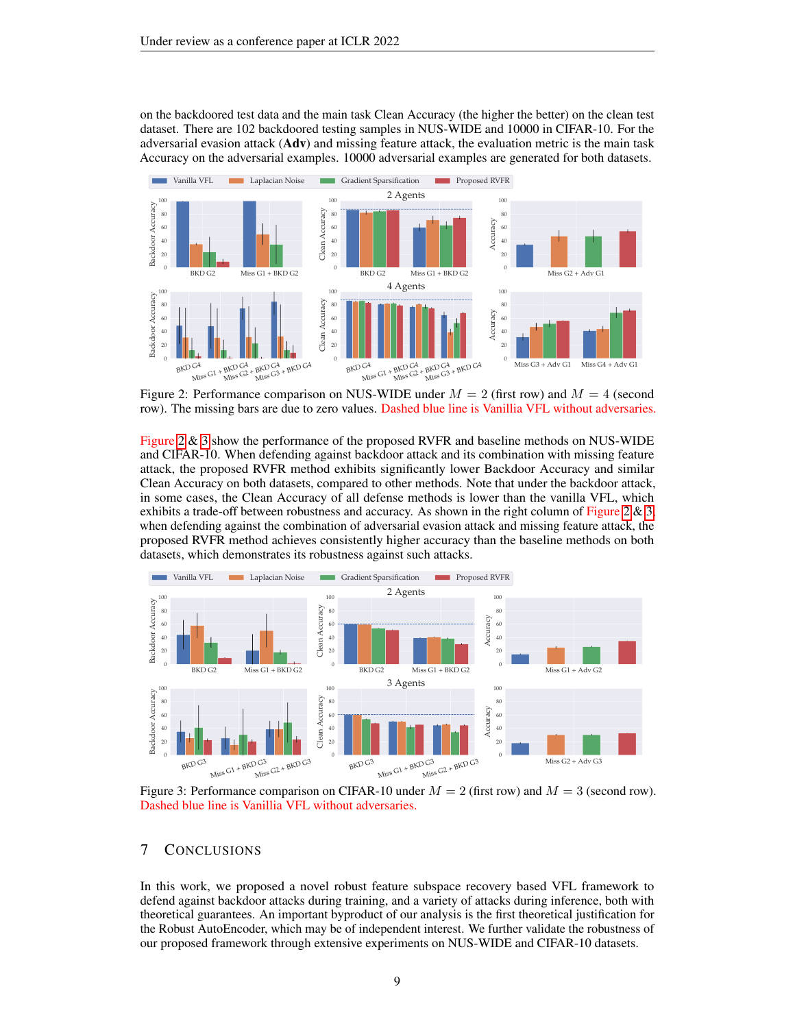on the backdoored test data and the main task Clean Accuracy (the higher the better) on the clean test dataset. There are 102 backdoored testing samples in NUS-WIDE and 10000 in CIFAR-10. For the adversarial evasion attack  $(Adv)$  and missing feature attack, the evaluation metric is the main task Accuracy on the adversarial examples. 10000 adversarial examples are generated for both datasets.



<span id="page-8-0"></span>Figure 2: Performance comparison on NUS-WIDE under  $M = 2$  (first row) and  $M = 4$  (second row). The missing bars are due to zero values. Dashed blue line is Vanillia VFL without adversaries.

Figure [2](#page-8-0) & [3](#page-8-1) show the performance of the proposed RVFR and baseline methods on NUS-WIDE and CIFAR-10. When defending against backdoor attack and its combination with missing feature attack, the proposed RVFR method exhibits significantly lower Backdoor Accuracy and similar Clean Accuracy on both datasets, compared to other methods. Note that under the backdoor attack, in some cases, the Clean Accuracy of all defense methods is lower than the vanilla VFL, which exhibits a trade-off between robustness and accuracy. As shown in the right column of Figure [2](#page-8-0)  $\&$  [3,](#page-8-1) when defending against the combination of adversarial evasion attack and missing feature attack, the proposed RVFR method achieves consistently higher accuracy than the baseline methods on both datasets, which demonstrates its robustness against such attacks.



<span id="page-8-1"></span>Figure 3: Performance comparison on CIFAR-10 under  $M = 2$  (first row) and  $M = 3$  (second row). Dashed blue line is Vanillia VFL without adversaries.

# 7 CONCLUSIONS

In this work, we proposed a novel robust feature subspace recovery based VFL framework to defend against backdoor attacks during training, and a variety of attacks during inference, both with theoretical guarantees. An important byproduct of our analysis is the first theoretical justification for the Robust AutoEncoder, which may be of independent interest. We further validate the robustness of our proposed framework through extensive experiments on NUS-WIDE and CIFAR-10 datasets.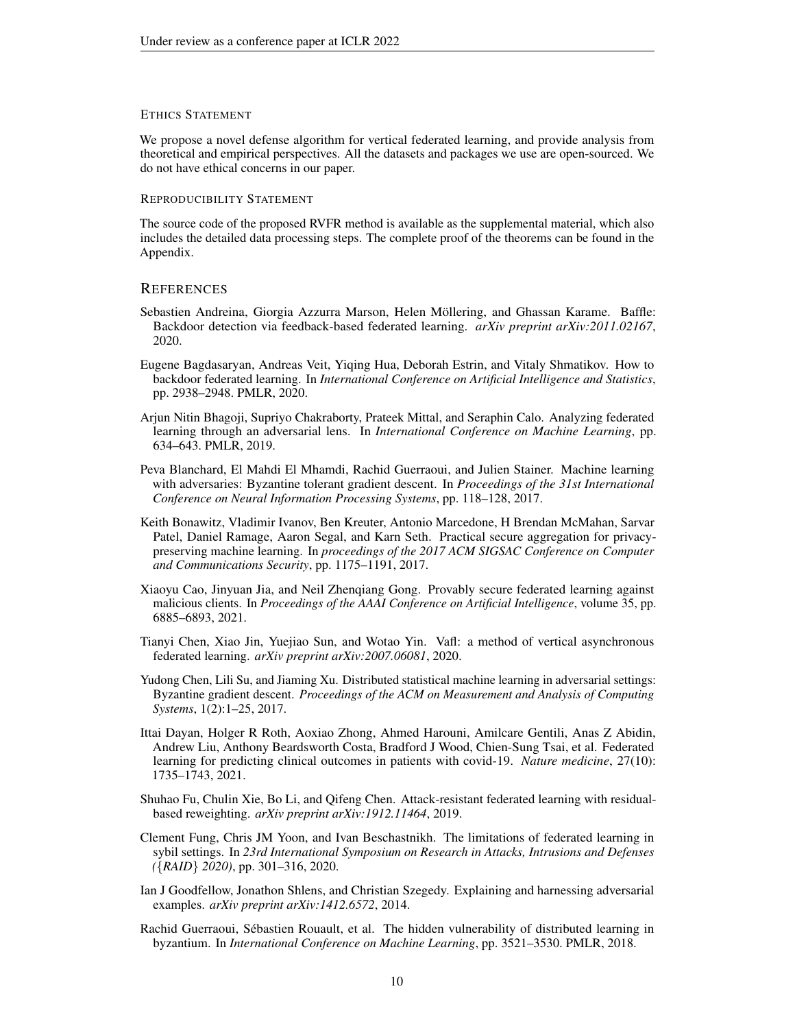#### ETHICS STATEMENT

We propose a novel defense algorithm for vertical federated learning, and provide analysis from theoretical and empirical perspectives. All the datasets and packages we use are open-sourced. We do not have ethical concerns in our paper.

## REPRODUCIBILITY STATEMENT

The source code of the proposed RVFR method is available as the supplemental material, which also includes the detailed data processing steps. The complete proof of the theorems can be found in the Appendix.

## **REFERENCES**

- <span id="page-9-10"></span>Sebastien Andreina, Giorgia Azzurra Marson, Helen Möllering, and Ghassan Karame. Baffle: Backdoor detection via feedback-based federated learning. *arXiv preprint arXiv:2011.02167*, 2020.
- <span id="page-9-9"></span>Eugene Bagdasaryan, Andreas Veit, Yiqing Hua, Deborah Estrin, and Vitaly Shmatikov. How to backdoor federated learning. In *International Conference on Artificial Intelligence and Statistics*, pp. 2938–2948. PMLR, 2020.
- <span id="page-9-8"></span>Arjun Nitin Bhagoji, Supriyo Chakraborty, Prateek Mittal, and Seraphin Calo. Analyzing federated learning through an adversarial lens. In *International Conference on Machine Learning*, pp. 634–643. PMLR, 2019.
- <span id="page-9-4"></span>Peva Blanchard, El Mahdi El Mhamdi, Rachid Guerraoui, and Julien Stainer. Machine learning with adversaries: Byzantine tolerant gradient descent. In *Proceedings of the 31st International Conference on Neural Information Processing Systems*, pp. 118–128, 2017.
- <span id="page-9-0"></span>Keith Bonawitz, Vladimir Ivanov, Ben Kreuter, Antonio Marcedone, H Brendan McMahan, Sarvar Patel, Daniel Ramage, Aaron Segal, and Karn Seth. Practical secure aggregation for privacypreserving machine learning. In *proceedings of the 2017 ACM SIGSAC Conference on Computer and Communications Security*, pp. 1175–1191, 2017.
- <span id="page-9-11"></span>Xiaoyu Cao, Jinyuan Jia, and Neil Zhenqiang Gong. Provably secure federated learning against malicious clients. In *Proceedings of the AAAI Conference on Artificial Intelligence*, volume 35, pp. 6885–6893, 2021.
- <span id="page-9-2"></span>Tianyi Chen, Xiao Jin, Yuejiao Sun, and Wotao Yin. Vafl: a method of vertical asynchronous federated learning. *arXiv preprint arXiv:2007.06081*, 2020.
- <span id="page-9-7"></span>Yudong Chen, Lili Su, and Jiaming Xu. Distributed statistical machine learning in adversarial settings: Byzantine gradient descent. *Proceedings of the ACM on Measurement and Analysis of Computing Systems*, 1(2):1–25, 2017.
- <span id="page-9-1"></span>Ittai Dayan, Holger R Roth, Aoxiao Zhong, Ahmed Harouni, Amilcare Gentili, Anas Z Abidin, Andrew Liu, Anthony Beardsworth Costa, Bradford J Wood, Chien-Sung Tsai, et al. Federated learning for predicting clinical outcomes in patients with covid-19. *Nature medicine*, 27(10): 1735–1743, 2021.
- <span id="page-9-5"></span>Shuhao Fu, Chulin Xie, Bo Li, and Qifeng Chen. Attack-resistant federated learning with residualbased reweighting. *arXiv preprint arXiv:1912.11464*, 2019.
- <span id="page-9-6"></span>Clement Fung, Chris JM Yoon, and Ivan Beschastnikh. The limitations of federated learning in sybil settings. In *23rd International Symposium on Research in Attacks, Intrusions and Defenses (*{*RAID*} *2020)*, pp. 301–316, 2020.
- <span id="page-9-12"></span>Ian J Goodfellow, Jonathon Shlens, and Christian Szegedy. Explaining and harnessing adversarial examples. *arXiv preprint arXiv:1412.6572*, 2014.
- <span id="page-9-3"></span>Rachid Guerraoui, Sebastien Rouault, et al. The hidden vulnerability of distributed learning in ´ byzantium. In *International Conference on Machine Learning*, pp. 3521–3530. PMLR, 2018.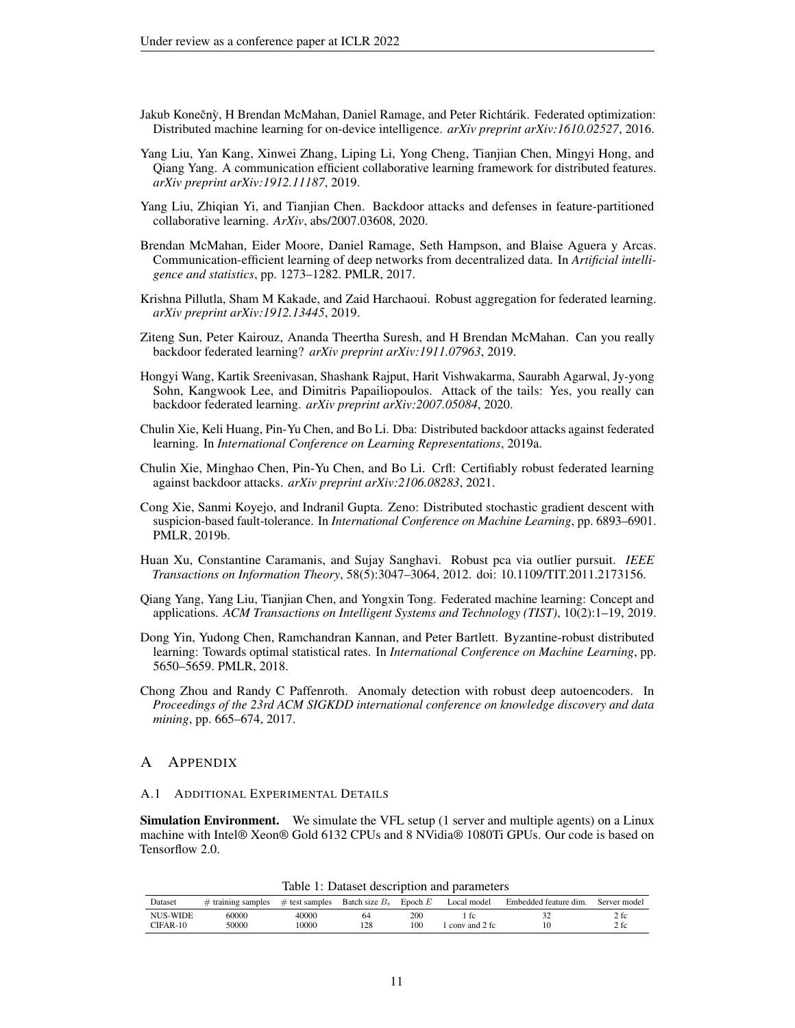- <span id="page-10-0"></span>Jakub Konečnỳ, H Brendan McMahan, Daniel Ramage, and Peter Richtárik. Federated optimization: Distributed machine learning for on-device intelligence. *arXiv preprint arXiv:1610.02527*, 2016.
- <span id="page-10-3"></span>Yang Liu, Yan Kang, Xinwei Zhang, Liping Li, Yong Cheng, Tianjian Chen, Mingyi Hong, and Qiang Yang. A communication efficient collaborative learning framework for distributed features. *arXiv preprint arXiv:1912.11187*, 2019.
- <span id="page-10-4"></span>Yang Liu, Zhiqian Yi, and Tianjian Chen. Backdoor attacks and defenses in feature-partitioned collaborative learning. *ArXiv*, abs/2007.03608, 2020.
- <span id="page-10-1"></span>Brendan McMahan, Eider Moore, Daniel Ramage, Seth Hampson, and Blaise Aguera y Arcas. Communication-efficient learning of deep networks from decentralized data. In *Artificial intelligence and statistics*, pp. 1273–1282. PMLR, 2017.
- <span id="page-10-6"></span>Krishna Pillutla, Sham M Kakade, and Zaid Harchaoui. Robust aggregation for federated learning. *arXiv preprint arXiv:1912.13445*, 2019.
- <span id="page-10-11"></span>Ziteng Sun, Peter Kairouz, Ananda Theertha Suresh, and H Brendan McMahan. Can you really backdoor federated learning? *arXiv preprint arXiv:1911.07963*, 2019.
- <span id="page-10-9"></span>Hongyi Wang, Kartik Sreenivasan, Shashank Rajput, Harit Vishwakarma, Saurabh Agarwal, Jy-yong Sohn, Kangwook Lee, and Dimitris Papailiopoulos. Attack of the tails: Yes, you really can backdoor federated learning. *arXiv preprint arXiv:2007.05084*, 2020.
- <span id="page-10-10"></span>Chulin Xie, Keli Huang, Pin-Yu Chen, and Bo Li. Dba: Distributed backdoor attacks against federated learning. In *International Conference on Learning Representations*, 2019a.
- <span id="page-10-12"></span>Chulin Xie, Minghao Chen, Pin-Yu Chen, and Bo Li. Crfl: Certifiably robust federated learning against backdoor attacks. *arXiv preprint arXiv:2106.08283*, 2021.
- <span id="page-10-7"></span>Cong Xie, Sanmi Koyejo, and Indranil Gupta. Zeno: Distributed stochastic gradient descent with suspicion-based fault-tolerance. In *International Conference on Machine Learning*, pp. 6893–6901. PMLR, 2019b.
- <span id="page-10-13"></span>Huan Xu, Constantine Caramanis, and Sujay Sanghavi. Robust pca via outlier pursuit. *IEEE Transactions on Information Theory*, 58(5):3047–3064, 2012. doi: 10.1109/TIT.2011.2173156.
- <span id="page-10-2"></span>Qiang Yang, Yang Liu, Tianjian Chen, and Yongxin Tong. Federated machine learning: Concept and applications. *ACM Transactions on Intelligent Systems and Technology (TIST)*, 10(2):1–19, 2019.
- <span id="page-10-5"></span>Dong Yin, Yudong Chen, Ramchandran Kannan, and Peter Bartlett. Byzantine-robust distributed learning: Towards optimal statistical rates. In *International Conference on Machine Learning*, pp. 5650–5659. PMLR, 2018.
- <span id="page-10-8"></span>Chong Zhou and Randy C Paffenroth. Anomaly detection with robust deep autoencoders. In *Proceedings of the 23rd ACM SIGKDD international conference on knowledge discovery and data mining*, pp. 665–674, 2017.

## A APPENDIX

#### <span id="page-10-14"></span>A.1 ADDITIONAL EXPERIMENTAL DETAILS

Simulation Environment. We simulate the VFL setup (1 server and multiple agents) on a Linux machine with Intel® Xeon® Gold 6132 CPUs and 8 NVidia® 1080Ti GPUs. Our code is based on Tensorflow 2.0.

Table 1: Dataset description and parameters

<span id="page-10-15"></span>

| Dataset  | $#$ training samples | $\#$ test samples | Batch size $B_s$ | Epoch $E$       | Local model                 | Embedded feature dim. | Server model |
|----------|----------------------|-------------------|------------------|-----------------|-----------------------------|-----------------------|--------------|
| NUS-WIDE | 60000                | 40000             | 64               | 200             |                             |                       | 2 fc         |
| CIFAR-10 | 50000                | 10000             | 128              | 10 <sup>c</sup> | $\frac{1}{2}$ conv and 2 fc |                       | 2 fc         |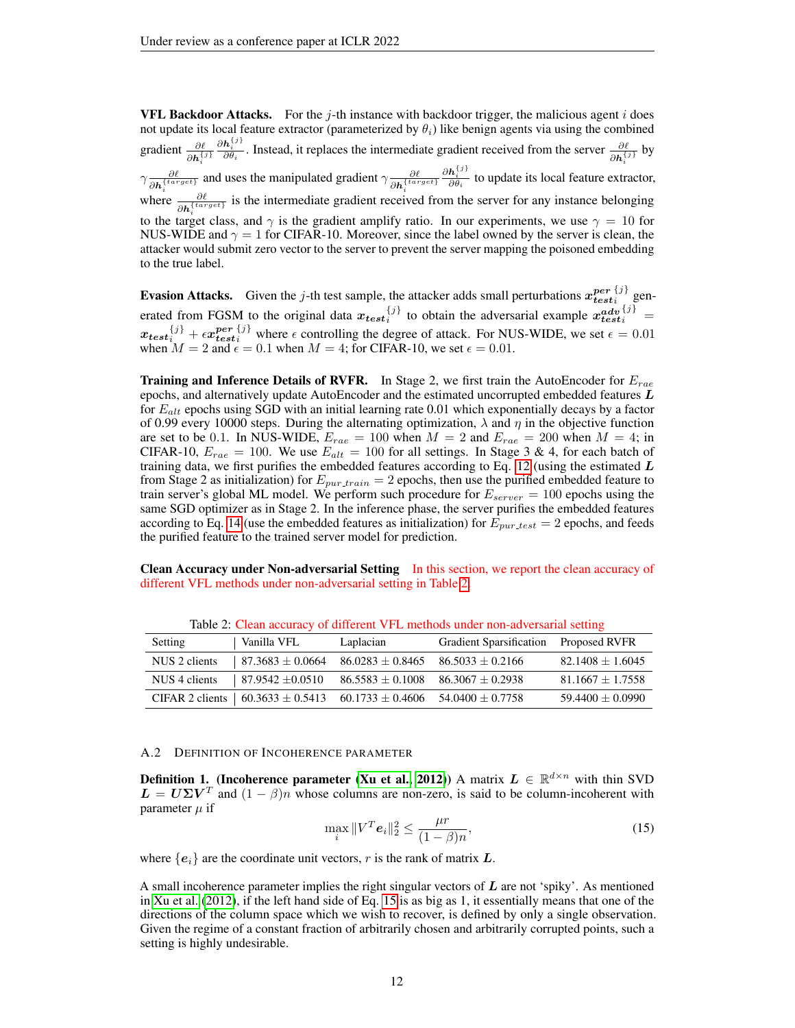**VFL Backdoor Attacks.** For the j-th instance with backdoor trigger, the malicious agent i does not update its local feature extractor (parameterized by  $\theta_i$ ) like benign agents via using the combined gradient  $\frac{\partial \ell}{\partial h_i^{(j)}} \frac{\partial h_i^{(j)}}{\partial \theta_i}$ . Instead, it replaces the intermediate gradient received from the server  $\frac{\partial \ell}{\partial h_i^{(j)}}$  by  $\partial h_i^{\{j,j\}}$   $\partial \theta_i$   $\partial h_i^{\{k\}}$  $\gamma \frac{\partial \ell}{\partial t \sin \theta}$  $\frac{\partial \ell}{\partial h_i^{(target)}}$  and uses the manipulated gradient  $\gamma \frac{\partial \ell}{\partial h_i^{(targ)}}$  $\partial \bm{h}^{\{target\}}_i$  $\frac{\partial \mathbf{h}_i^{\{j\}}}{\partial \theta_i}$  to update its local feature extractor, where  $\frac{\partial \ell}{\partial h_i^{(target)}}$  is the intermediate gradient received from the server for any instance belonging to the target class, and  $\gamma$  is the gradient amplify ratio. In our experiments, we use  $\gamma = 10$  for NUS-WIDE and  $\gamma = 1$  for CIFAR-10. Moreover, since the label owned by the server is clean, the attacker would submit zero vector to the server to prevent the server mapping the poisoned embedding to the true label.

**Evasion Attacks.** Given the j-th test sample, the attacker adds small perturbations  $x_{test}^{per}$  $\{j\}$  $i^{1}$  generated from FGSM to the original data  $x_{test}^{j}$  to obtain the adversarial example  $x_{test}^{adv}$  $i^{j} = i$  $x_{test}^{\{j\}} + \epsilon x_{test}^{per}$  ${j \choose i}$  where  $\epsilon$  controlling the degree of attack. For NUS-WIDE, we set  $\epsilon = 0.01$ when  $M = 2$  and  $\epsilon = 0.1$  when  $M = 4$ ; for CIFAR-10, we set  $\epsilon = 0.01$ .

**Training and Inference Details of RVFR.** In Stage 2, we first train the AutoEncoder for  $E_{rae}$ epochs, and alternatively update AutoEncoder and the estimated uncorrupted embedded features  $L$ for  $E_{alt}$  epochs using SGD with an initial learning rate 0.01 which exponentially decays by a factor of 0.99 every 10000 steps. During the alternating optimization,  $\lambda$  and  $\eta$  in the objective function are set to be 0.1. In NUS-WIDE,  $E_{rae} = 100$  when  $M = 2$  and  $E_{rae} = 200$  when  $M = 4$ ; in CIFAR-10,  $E_{rae} = 100$ . We use  $E_{alt} = 100$  for all settings. In Stage 3 & 4, for each batch of training data, we first purifies the embedded features according to Eq. [12](#page-5-3) (using the estimated  $L$ from Stage 2 as initialization) for  $E_{pur, train} = 2$  epochs, then use the purified embedded feature to train server's global ML model. We perform such procedure for  $E_{server} = 100$  epochs using the same SGD optimizer as in Stage 2. In the inference phase, the server purifies the embedded features according to Eq. [14](#page-5-1) (use the embedded features as initialization) for  $E_{pur test} = 2$  epochs, and feeds the purified feature to the trained server model for prediction.

Clean Accuracy under Non-adversarial Setting In this section, we report the clean accuracy of different VFL methods under non-adversarial setting in Table [2.](#page-11-2)

<span id="page-11-2"></span>

| Setting       | Vanilla VFL                                  | Laplacian            | Gradient Sparsification Proposed RVFR |                      |
|---------------|----------------------------------------------|----------------------|---------------------------------------|----------------------|
| NUS 2 clients | $87.3683 \pm 0.0664$                         | $86.0283 \pm 0.8465$ | $86.5033 \pm 0.2166$                  | $82.1408 \pm 1.6045$ |
| NUS 4 clients | $87.9542 \pm 0.0510$                         | $86.5583 \pm 0.1008$ | $86.3067 \pm 0.2938$                  | $81.1667 \pm 1.7558$ |
|               | CIFAR 2 clients $\vert$ 60.3633 $\pm$ 0.5413 | $60.1733 \pm 0.4606$ | $54.0400 + 0.7758$                    | $59.4400 \pm 0.0990$ |

Table 2: Clean accuracy of different VFL methods under non-adversarial setting

#### <span id="page-11-1"></span>A.2 DEFINITION OF INCOHERENCE PARAMETER

<span id="page-11-0"></span>**Definition 1.** (Incoherence parameter [\(Xu et al., 2012\)](#page-10-13)) A matrix  $L \in \mathbb{R}^{d \times n}$  with thin SVD  $\mathbf{L} = \mathbf{U} \Sigma \mathbf{V}^T$  and  $(1 - \beta)n$  whose columns are non-zero, is said to be column-incoherent with parameter  $\mu$  if

<span id="page-11-3"></span>
$$
\max_{i} \|V^T \mathbf{e}_i\|_2^2 \le \frac{\mu r}{(1-\beta)n},
$$
\n(15)

where  ${e_i}$  are the coordinate unit vectors, r is the rank of matrix L.

A small incoherence parameter implies the right singular vectors of  $L$  are not 'spiky'. As mentioned in [Xu et al.](#page-10-13) [\(2012\)](#page-10-13), if the left hand side of Eq. [15](#page-11-3) is as big as 1, it essentially means that one of the directions of the column space which we wish to recover, is defined by only a single observation. Given the regime of a constant fraction of arbitrarily chosen and arbitrarily corrupted points, such a setting is highly undesirable.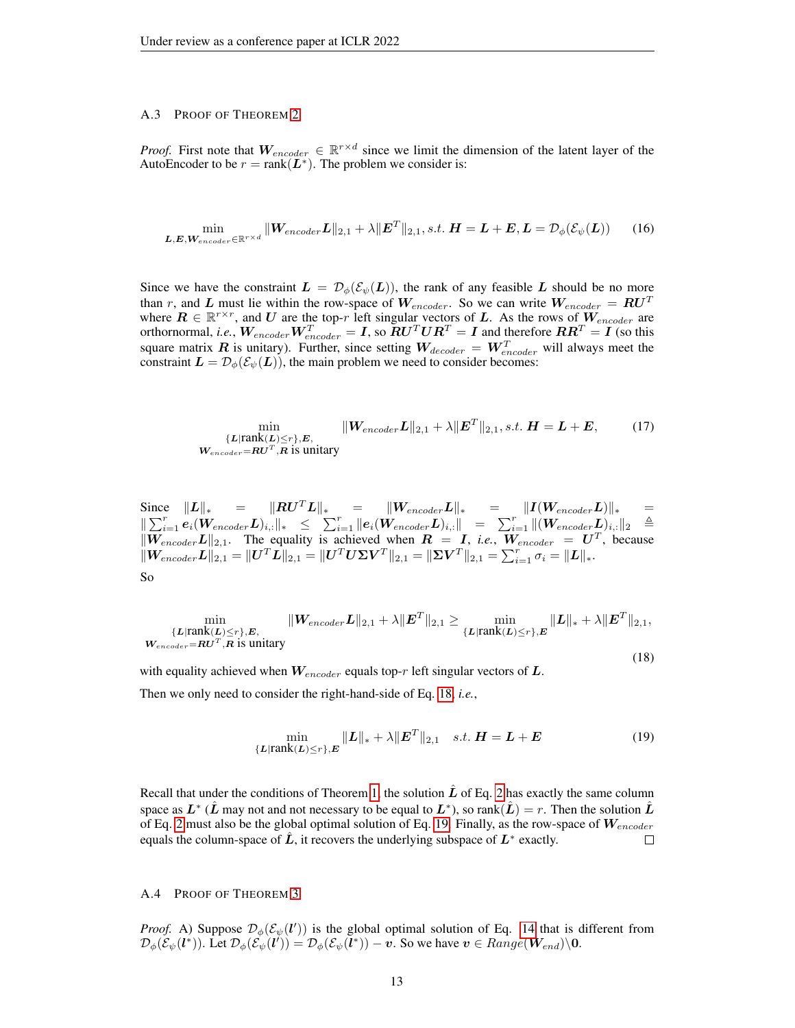## <span id="page-12-0"></span>A.3 PROOF OF THEOREM [2](#page-5-0)

*Proof.* First note that  $W_{encoder} \in \mathbb{R}^{r \times d}$  since we limit the dimension of the latent layer of the AutoEncoder to be  $r = \text{rank}(\mathbf{L}^*)$ . The problem we consider is:

$$
\min_{\boldsymbol{L}, \boldsymbol{E}, \boldsymbol{W}_{encoder} \in \mathbb{R}^{r \times d}} \| \boldsymbol{W}_{encoder} \boldsymbol{L} \|_{2,1} + \lambda \| \boldsymbol{E}^T \|_{2,1}, s.t. \ \boldsymbol{H} = \boldsymbol{L} + \boldsymbol{E}, \boldsymbol{L} = \mathcal{D}_{\phi}(\mathcal{E}_{\psi}(\boldsymbol{L})) \tag{16}
$$

Since we have the constraint  $L = \mathcal{D}_{\phi}(\mathcal{E}_{\psi}(L))$ , the rank of any feasible L should be no more than r, and L must lie within the row-space of  $W_{encoder}$ . So we can write  $W_{encoder} = RU^T$ where  $\mathbf{R} \in \mathbb{R}^{r \times r}$ , and U are the top-r left singular vectors of L. As the rows of  $W_{encoder}$  are orthornormal, *i.e.*,  $W_{encoder}W_{encoder}^T = I$ , so  $RU^TUR^T = I$  and therefore  $RR^T = I$  (so this square matrix R is unitary). Further, since setting  $W_{decoder} = W_{encoder}^T$  will always meet the constraint  $\mathbf{L} = \mathcal{D}_{\phi}(\mathcal{E}_{\psi}(\mathbf{L}))$ , the main problem we need to consider becomes:

$$
\min_{\{L|\text{rank}(L)\leq r\},E,\atop\mathbf{W}_{encoder}=\mathbf{R}\mathbf{U}^T,\mathbf{R} \text{ is unitary}}\|\mathbf{W}_{encoder}\mathbf{L}\|_{2,1}+\lambda\|\mathbf{E}^T\|_{2,1}, s.t. \mathbf{H}=\mathbf{L}+\mathbf{E},\t(17)
$$

Since  $||L||_* = ||RU^T L||_* = ||W_{encoder} L||_* = ||I(W_{encoder} L)||_* =$  $\begin{array}{rcl} \Vert \sum_{i=1}^r e_i(\boldsymbol{W}_{encoder}\boldsymbol{L})_{i,:} \Vert_* & \leq & \sum_{i=1}^r \Vert \boldsymbol{e}_i(\boldsymbol{W}_{encoder}\boldsymbol{L})_{i,:} \Vert & = & \sum_{i=1}^r \Vert (\boldsymbol{W}_{encoder}\boldsymbol{L})_{i,:} \Vert_2 & \triangleq & \end{array}$  $\|W_{encoder}L\|_{2,1}$ . The equality is achieved when  $R = I$ , *i.e.*,  $W_{encoder} = U^T$ , because  $\|W_{encoder} \boldsymbol{L} \|_{2,1} = \| \boldsymbol{U}^T \boldsymbol{L} \|_{2,1} = \| \boldsymbol{U}^T \boldsymbol{U} \boldsymbol{\Sigma} \boldsymbol{V}^T \|_{2,1} = \| \boldsymbol{\Sigma} \boldsymbol{V}^T \|_{2,1} = \sum_{i=1}^r \sigma_i = \| \boldsymbol{L} \|_{*}.$ So

<span id="page-12-2"></span>
$$
\min_{\substack{\{L\mid \text{rank}(L)\leq r\}, E, \\ \mathbf{W}_{encoder} = \mathbf{R}\mathbf{U}^T, \mathbf{R} \text{ is unitary}}}\|\mathbf{W}_{encoder}\mathbf{L}\|_{2,1} + \lambda \|\mathbf{E}^T\|_{2,1} \geq \min_{\substack{\{L\mid \text{rank}(L)\leq r\}, \mathbf{E}}} \|\mathbf{L}\|_{*} + \lambda \|\mathbf{E}^T\|_{2,1},
$$

with equality achieved when  $W_{encoder}$  equals top-r left singular vectors of  $L$ . Then we only need to consider the right-hand-side of Eq. [18,](#page-12-2) *i.e.*,

<span id="page-12-3"></span>
$$
\min_{\{L|\text{rank}(L)\leq r\},E} \|L\|_{*} + \lambda \|E^{T}\|_{2,1} \quad s.t. \ H = L + E \tag{19}
$$

(18)

Recall that under the conditions of Theorem [1,](#page-2-1) the solution  $\hat{L}$  of Eq. [2](#page-2-0) has exactly the same column space as  $L^*$  ( $\hat{L}$  may not and not necessary to be equal to  $L^*$ ), so rank $(\hat{L})=r.$  Then the solution  $\hat{L}$ of Eq. [2](#page-2-0) must also be the global optimal solution of Eq. [19.](#page-12-3) Finally, as the row-space of  $W_{encoder}$ equals the column-space of  $\hat{L}$ , it recovers the underlying subspace of  $L^*$  exactly.  $\Box$ 

#### <span id="page-12-1"></span>A.4 PROOF OF THEOREM [3](#page-6-0)

*Proof.* A) Suppose  $\mathcal{D}_{\phi}(\mathcal{E}_{\psi}(l'))$  is the global optimal solution of Eq. [14](#page-5-1) that is different from  $\mathcal{D}_{\phi}(\mathcal{E}_{\psi}(\ell^*))$ . Let  $\mathcal{D}_{\phi}(\mathcal{E}_{\psi}(\ell')) = \mathcal{D}_{\phi}(\mathcal{E}_{\psi}(\ell^*)) - v$ . So we have  $v \in Range(\mathbf{W}_{end})\backslash 0$ .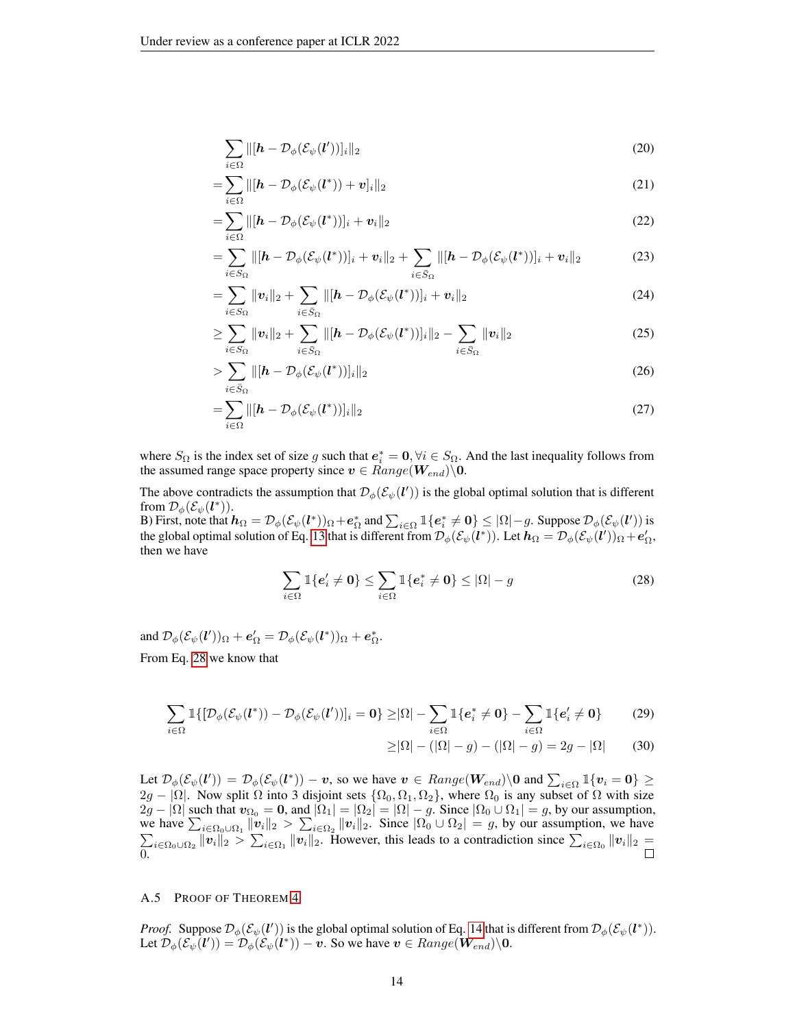$$
\sum_{i \in \Omega} ||[\boldsymbol{h} - \mathcal{D}_{\phi}(\mathcal{E}_{\psi}(\boldsymbol{l}'))]_i||_2
$$
\n(20)

$$
=\sum_{i\in\Omega}||[\boldsymbol{h}-\mathcal{D}_{\phi}(\mathcal{E}_{\psi}(\boldsymbol{l}^*))+\boldsymbol{v}]_i||_2\tag{21}
$$

$$
=\sum_{i\in\Omega} \|[h-\mathcal{D}_{\phi}(\mathcal{E}_{\psi}(l^*))]_i + \boldsymbol{v}_i\|_2
$$
\n(22)

$$
= \sum_{i \in S_{\Omega}} \left\| [\boldsymbol{h} - \mathcal{D}_{\phi}(\mathcal{E}_{\psi}(\boldsymbol{l}^*))]_i + \boldsymbol{v}_i \right\|_2 + \sum_{i \in \bar{S}_{\Omega}} \left\| [\boldsymbol{h} - \mathcal{D}_{\phi}(\mathcal{E}_{\psi}(\boldsymbol{l}^*))]_i + \boldsymbol{v}_i \right\|_2 \tag{23}
$$

$$
=\sum_{i\in S_{\Omega}}\|\mathbf{v}_{i}\|_{2}+\sum_{i\in \bar{S}_{\Omega}}\|[\mathbf{h}-\mathcal{D}_{\phi}(\mathcal{E}_{\psi}(\mathbf{l}^{*}))]_{i}+\mathbf{v}_{i}\|_{2}
$$
\n(24)

$$
\geq \sum_{i \in S_{\Omega}} \|v_i\|_2 + \sum_{i \in \bar{S}_{\Omega}} \| [h - \mathcal{D}_{\phi}(\mathcal{E}_{\psi}(l^*))]_i \|_2 - \sum_{i \in \bar{S}_{\Omega}} \|v_i\|_2 \tag{25}
$$

$$
>\sum_{i\in\bar{S}_{\Omega}}\|[\boldsymbol{h}-\mathcal{D}_{\phi}(\mathcal{E}_{\psi}(\boldsymbol{l}^*))]_i\|_2\tag{26}
$$

$$
=\sum_{i\in\Omega}||[\boldsymbol{h}-\mathcal{D}_{\phi}(\mathcal{E}_{\psi}(\boldsymbol{l}^*))]_i||_2
$$
\n(27)

where  $S_{\Omega}$  is the index set of size g such that  $e_i^* = 0$ ,  $\forall i \in S_{\Omega}$ . And the last inequality follows from the assumed range space property since  $v \in Range(\mathbf{W}_{end})\backslash 0$ .

The above contradicts the assumption that  $\mathcal{D}_{\phi}(\mathcal{E}_{\psi}(l'))$  is the global optimal solution that is different from  $\mathcal{D}_{\phi}(\mathcal{E}_{\psi}(\boldsymbol{l}^*))$ .

B) First, note that  $h_{\Omega} = \mathcal{D}_{\phi}(\mathcal{E}_{\psi}(l^*))_{\Omega} + \mathbf{e}_{\Omega}^*$  and  $\sum_{i \in \Omega} \mathbb{1}\{\mathbf{e}_i^* \neq \mathbf{0}\} \leq |\Omega| - g$ . Suppose  $\mathcal{D}_{\phi}(\mathcal{E}_{\psi}(l'))$  is the global optimal solution of Eq. [13](#page-5-2) that is different from  $\mathcal{D}_{\phi}(\mathcal{E}_{\psi}(\bm{l}^*))$ . Let  $\bm{h}_{\Omega} = \mathcal{D}_{\phi}(\mathcal{E}_{\psi}(\bm{l}'))_{\Omega} + \bm{e}_{\Omega}',$ then we have

<span id="page-13-1"></span>
$$
\sum_{i\in\Omega} \mathbb{1}\{e'_i \neq 0\} \le \sum_{i\in\Omega} \mathbb{1}\{e_i^* \neq 0\} \le |\Omega| - g \tag{28}
$$

and  $\mathcal{D}_{\phi}(\mathcal{E}_{\psi}(\boldsymbol{l}'))_{\Omega} + \boldsymbol{e}_{\Omega}' = \mathcal{D}_{\phi}(\mathcal{E}_{\psi}(\boldsymbol{l}^*))_{\Omega} + \boldsymbol{e}_{\Omega}^*$ . From Eq. [28](#page-13-1) we know that

$$
\sum_{i\in\Omega} \mathbb{1}\{[\mathcal{D}_{\phi}(\mathcal{E}_{\psi}(l^*)) - \mathcal{D}_{\phi}(\mathcal{E}_{\psi}(l'))]_i = 0\} \geq |\Omega| - \sum_{i\in\Omega} \mathbb{1}\{e_i^* \neq 0\} - \sum_{i\in\Omega} \mathbb{1}\{e_i' \neq 0\}
$$
 (29)

$$
\geq |\Omega| - (|\Omega| - g) - (|\Omega| - g) = 2g - |\Omega| \tag{30}
$$

Let  $\mathcal{D}_{\phi}(\mathcal{E}_{\psi}(l')) = \mathcal{D}_{\phi}(\mathcal{E}_{\psi}(l^*)) - v$ , so we have  $v \in Range(W_{end})\setminus 0$  and  $\sum_{i \in \Omega} \mathbb{1}\{v_i = 0\} \ge$  $2g - |\Omega|$ . Now split  $\Omega$  into 3 disjoint sets  $\{\Omega_0, \Omega_1, \Omega_2\}$ , where  $\Omega_0$  is any subset of  $\Omega$  with size  $2g - |\Omega|$  such that  $v_{\Omega_0} = 0$ , and  $|\Omega_1| = |\Omega_2| = |\Omega| - g$ . Since  $|\Omega_0 \cup \Omega_1| = g$ , by our assumption, we have  $\sum_{i \in \Omega_0 \cup \Omega_1} ||v_i||_2 > \sum_{i \in \Omega_2} ||v_i||_2$ . Since  $|\Omega_0 \cup \Omega_2| = g$ , by our assumption, we have  $\sum_{i \in \Omega_0} ||v_i||_2 > \sum_{i \in \Omega_1} ||v_i||_2$ . However, this leads to a contradiction since  $\sum_{i \in \Omega_0} ||v_i||_2 =$  $\sum_{i\in\Omega_0\cup\Omega_2} ||v_i||_2 > \sum_{i\in\Omega_1} ||v_i||_2$ . However, this leads to a contradiction since  $\sum_{i\in\Omega_0} ||v_i||_2 =$ 0.

## <span id="page-13-0"></span>A.5 PROOF OF THEOREM [4](#page-6-1)

*Proof.* Suppose  $\mathcal{D}_{\phi}(\mathcal{E}_{\psi}(l'))$  is the global optimal solution of Eq. [14](#page-5-1) that is different from  $\mathcal{D}_{\phi}(\mathcal{E}_{\psi}(l^*))$ . Let  $\mathcal{D}_{\phi}(\mathcal{E}_{\psi}(\mathbf{l}')) = \mathcal{D}_{\phi}(\mathcal{E}_{\psi}(\mathbf{l}^*)) - \mathbf{v}$ . So we have  $\mathbf{v} \in Range(\mathbf{W}_{end})\backslash \mathbf{0}$ .